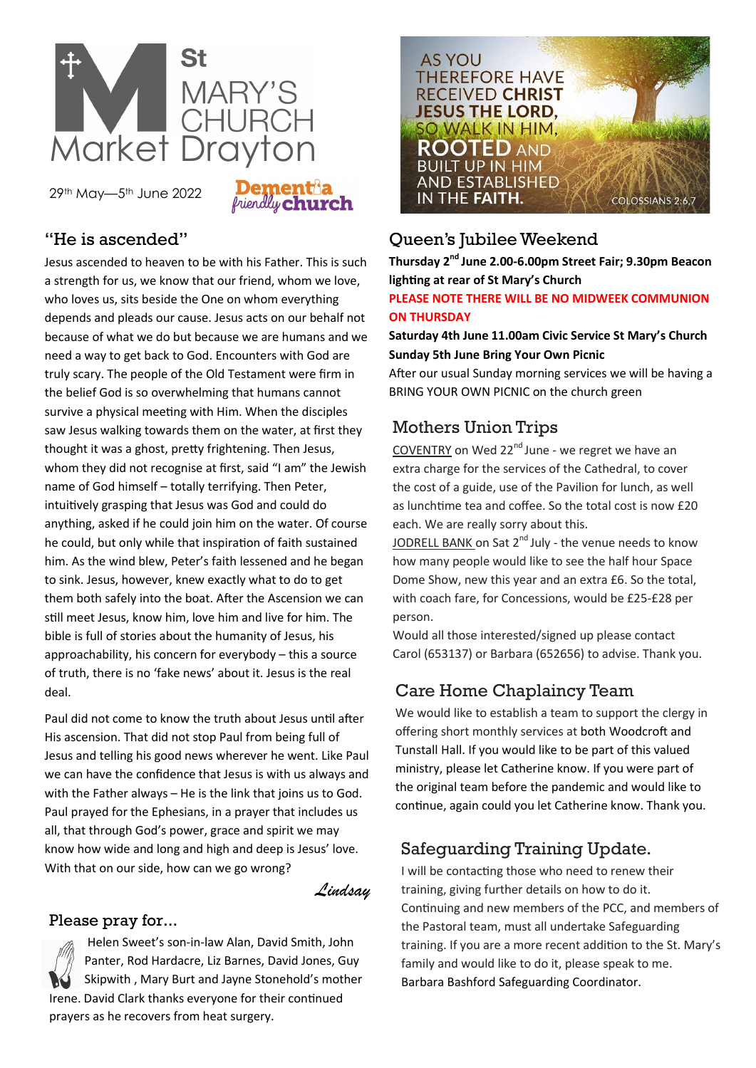

29th May—5th June 2022

## "He is ascended"

Jesus ascended to heaven to be with his Father. This is such a strength for us, we know that our friend, whom we love, who loves us, sits beside the One on whom everything depends and pleads our cause. Jesus acts on our behalf not because of what we do but because we are humans and we need a way to get back to God. Encounters with God are truly scary. The people of the Old Testament were firm in the belief God is so overwhelming that humans cannot survive a physical meeting with Him. When the disciples saw Jesus walking towards them on the water, at first they thought it was a ghost, pretty frightening. Then Jesus, whom they did not recognise at first, said "I am" the Jewish name of God himself – totally terrifying. Then Peter, intuitively grasping that Jesus was God and could do anything, asked if he could join him on the water. Of course he could, but only while that inspiration of faith sustained him. As the wind blew, Peter's faith lessened and he began to sink. Jesus, however, knew exactly what to do to get them both safely into the boat. After the Ascension we can still meet Jesus, know him, love him and live for him. The bible is full of stories about the humanity of Jesus, his approachability, his concern for everybody – this a source of truth, there is no 'fake news' about it. Jesus is the real deal.

Paul did not come to know the truth about Jesus until after His ascension. That did not stop Paul from being full of Jesus and telling his good news wherever he went. Like Paul we can have the confidence that Jesus is with us always and with the Father always – He is the link that joins us to God. Paul prayed for the Ephesians, in a prayer that includes us all, that through God's power, grace and spirit we may know how wide and long and high and deep is Jesus' love. With that on our side, how can we go wrong?

*Lindsay*

### Please pray for...

Helen Sweet's son-in-law Alan, David Smith, John Panter, Rod Hardacre, Liz Barnes, David Jones, Guy Skipwith , Mary Burt and Jayne Stonehold's mother Irene. David Clark thanks everyone for their continued prayers as he recovers from heat surgery.



# Queen's Jubilee Weekend

**Thursday 2nd June 2.00-6.00pm Street Fair; 9.30pm Beacon lighting at rear of St Mary's Church**

### **PLEASE NOTE THERE WILL BE NO MIDWEEK COMMUNION ON THURSDAY**

### **Saturday 4th June 11.00am Civic Service St Mary's Church Sunday 5th June Bring Your Own Picnic**

After our usual Sunday morning services we will be having a BRING YOUR OWN PICNIC on the church green

# Mothers Union Trips

COVENTRY on Wed 22<sup>nd</sup> June - we regret we have an extra charge for the services of the Cathedral, to cover the cost of a guide, use of the Pavilion for lunch, as well as lunchtime tea and coffee. So the total cost is now £20 each. We are really sorry about this.

JODRELL BANK on Sat 2<sup>nd</sup> July - the venue needs to know how many people would like to see the half hour Space Dome Show, new this year and an extra £6. So the total, with coach fare, for Concessions, would be £25-£28 per person.

Would all those interested/signed up please contact Carol (653137) or Barbara (652656) to advise. Thank you.

# Care Home Chaplaincy Team

We would like to establish a team to support the clergy in offering short monthly services at both Woodcroft and Tunstall Hall. If you would like to be part of this valued ministry, please let Catherine know. If you were part of the original team before the pandemic and would like to continue, again could you let Catherine know. Thank you.

# Safeguarding Training Update.

I will be contacting those who need to renew their training, giving further details on how to do it. Continuing and new members of the PCC, and members of the Pastoral team, must all undertake Safeguarding training. If you are a more recent addition to the St. Mary's family and would like to do it, please speak to me. Barbara Bashford Safeguarding Coordinator.